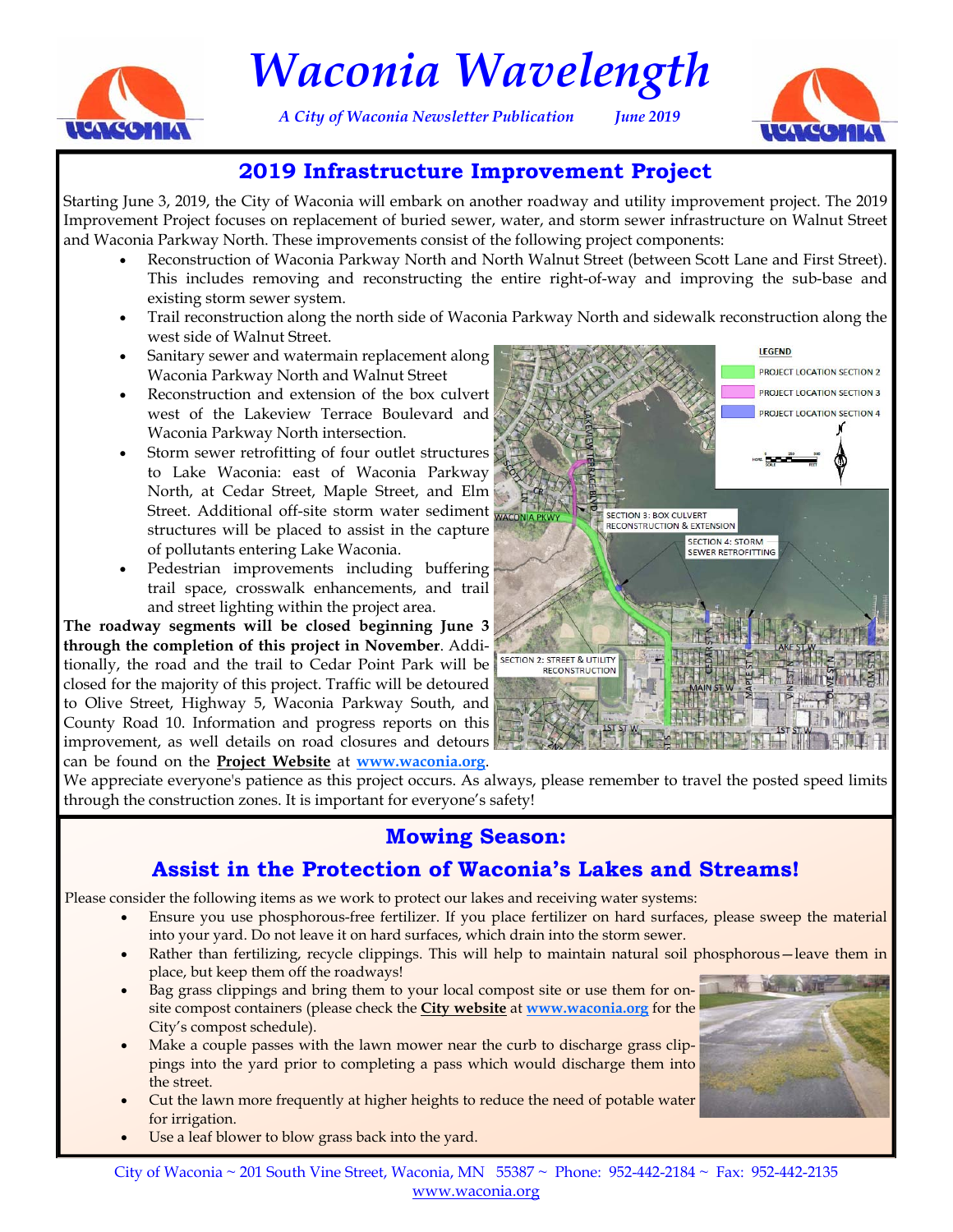

## *Waconia Wavelength*

*A City of Waconia Newsletter Publication June 2019* 



#### **2019 Infrastructure Improvement Project**

Starting June 3, 2019, the City of Waconia will embark on another roadway and utility improvement project. The 2019 Improvement Project focuses on replacement of buried sewer, water, and storm sewer infrastructure on Walnut Street and Waconia Parkway North. These improvements consist of the following project components:

- Reconstruction of Waconia Parkway North and North Walnut Street (between Scott Lane and First Street). This includes removing and reconstructing the entire right-of-way and improving the sub-base and existing storm sewer system.
- Trail reconstruction along the north side of Waconia Parkway North and sidewalk reconstruction along the west side of Walnut Street.
- Sanitary sewer and watermain replacement along Waconia Parkway North and Walnut Street
- Reconstruction and extension of the box culvert west of the Lakeview Terrace Boulevard and Waconia Parkway North intersection.
- Storm sewer retrofitting of four outlet structures to Lake Waconia: east of Waconia Parkway North, at Cedar Street, Maple Street, and Elm Street. Additional off-site storm water sediment structures will be placed to assist in the capture of pollutants entering Lake Waconia.
- Pedestrian improvements including buffering trail space, crosswalk enhancements, and trail and street lighting within the project area.

**The roadway segments will be closed beginning June 3 through the completion of this project in November**. Additionally, the road and the trail to Cedar Point Park will be closed for the majority of this project. Traffic will be detoured to Olive Street, Highway 5, Waconia Parkway South, and County Road 10. Information and progress reports on this improvement, as well details on road closures and detours can be found on the **[Project Website](https://clients.bolton-menk.com/waconia2019/)** at **[www.waconia.org](https://clients.bolton-menk.com/waconia2019/)**.



We appreciate everyone's patience as this project occurs. As always, please remember to travel the posted speed limits through the construction zones. It is important for everyone's safety!

#### **Mowing Season:**

#### **Assist in the Protection of Waconia's Lakes and Streams!**

Please consider the following items as we work to protect our lakes and receiving water systems:

- Ensure you use phosphorous-free fertilizer. If you place fertilizer on hard surfaces, please sweep the material into your yard. Do not leave it on hard surfaces, which drain into the storm sewer.
- Rather than fertilizing, recycle clippings. This will help to maintain natural soil phosphorous—leave them in place, but keep them off the roadways!
- Bag grass clippings and bring them to your local compost site or use them for onsite compost containers (please check the **[City website](http://www.waconia.org/DocumentCenter/View/1977/2019-Compost-Schedule?bidId=)** at **[www.waconia.org](http://www.waconia.org/DocumentCenter/View/1977/2019-Compost-Schedule?bidId=)** for the City's compost schedule).
- Make a couple passes with the lawn mower near the curb to discharge grass clippings into the yard prior to completing a pass which would discharge them into the street.
- Cut the lawn more frequently at higher heights to reduce the need of potable water for irrigation.
- Use a leaf blower to blow grass back into the yard.